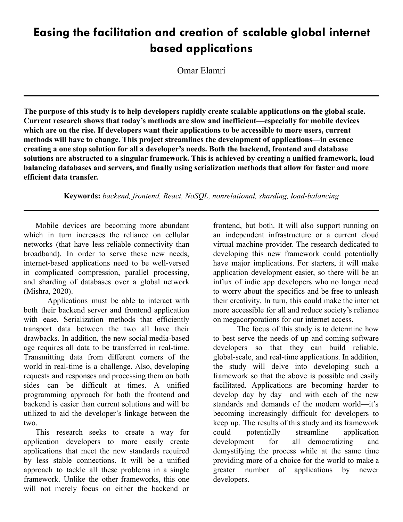# **Easing the facilitation and creation of scalable global internet based applications**

Omar Elamri

**The purpose of this study is to help developers rapidly create scalable applications on the global scale. Current research shows that today's methods are slow and inefficient—especially for mobile devices which are on the rise. If developers want their applications to be accessible to more users, current methods will have to change. This project streamlines the development of applications—in essence creating a one stop solution for all a developer's needs. Both the backend, frontend and database solutions are abstracted to a singular framework. This is achieved by creating a unified framework, load balancing databases and servers, and finally using serialization methods that allow for faster and more efficient data transfer.**

**Keywords:** *backend, frontend, React, NoSQL, nonrelational, sharding, load-balancing*

Mobile devices are becoming more abundant which in turn increases the reliance on cellular networks (that have less reliable connectivity than broadband). In order to serve these new needs, internet-based applications need to be well-versed in complicated compression, parallel processing, and sharding of databases over a global network (Mishra, 2020).

Applications must be able to interact with both their backend server and frontend application with ease. Serialization methods that efficiently transport data between the two all have their drawbacks. In addition, the new social media-based age requires all data to be transferred in real-time. Transmitting data from different corners of the world in real-time is a challenge. Also, developing requests and responses and processing them on both sides can be difficult at times. A unified programming approach for both the frontend and backend is easier than current solutions and will be utilized to aid the developer's linkage between the two.

This research seeks to create a way for application developers to more easily create applications that meet the new standards required by less stable connections. It will be a unified approach to tackle all these problems in a single framework. Unlike the other frameworks, this one will not merely focus on either the backend or

frontend, but both. It will also support running on an independent infrastructure or a current cloud virtual machine provider. The research dedicated to developing this new framework could potentially have major implications. For starters, it will make application development easier, so there will be an influx of indie app developers who no longer need to worry about the specifics and be free to unleash their creativity. In turn, this could make the internet more accessible for all and reduce society's reliance on megacorporations for our internet access.

The focus of this study is to determine how to best serve the needs of up and coming software developers so that they can build reliable, global-scale, and real-time applications. In addition, the study will delve into developing such a framework so that the above is possible and easily facilitated. Applications are becoming harder to develop day by day—and with each of the new standards and demands of the modern world—it's becoming increasingly difficult for developers to keep up. The results of this study and its framework could potentially streamline application development for all—democratizing and demystifying the process while at the same time providing more of a choice for the world to make a greater number of applications by newer developers.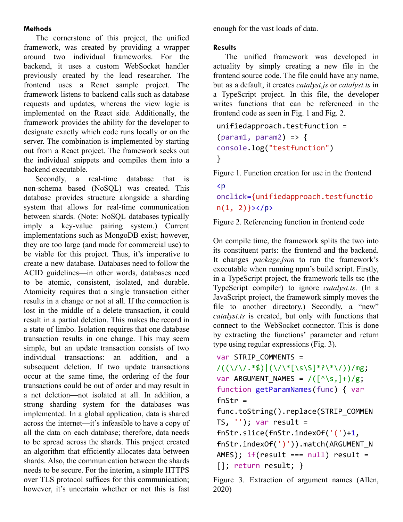## **Methods**

The cornerstone of this project, the unified framework, was created by providing a wrapper around two individual frameworks. For the backend, it uses a custom WebSocket handler previously created by the lead researcher. The frontend uses a React sample project. The framework listens to backend calls such as database requests and updates, whereas the view logic is implemented on the React side. Additionally, the framework provides the ability for the developer to designate exactly which code runs locally or on the server. The combination is implemented by starting out from a React project. The framework seeks out the individual snippets and compiles them into a backend executable.

Secondly, a real-time database that is non-schema based (NoSQL) was created. This database provides structure alongside a sharding system that allows for real-time communication between shards. (Note: NoSQL databases typically imply a key-value pairing system.) Current implementations such as MongoDB exist; however, they are too large (and made for commercial use) to be viable for this project. Thus, it's imperative to create a new database. Databases need to follow the ACID guidelines—in other words, databases need to be atomic, consistent, isolated, and durable. Atomicity requires that a single transaction either results in a change or not at all. If the connection is lost in the middle of a delete transaction, it could result in a partial deletion. This makes the record in a state of limbo. Isolation requires that one database transaction results in one change. This may seem simple, but an update transaction consists of two individual transactions: an addition, and a subsequent deletion. If two update transactions occur at the same time, the ordering of the four transactions could be out of order and may result in a net deletion—not isolated at all. In addition, a strong sharding system for the databases was implemented. In a global application, data is shared across the internet—it's infeasible to have a copy of all the data on each database; therefore, data needs to be spread across the shards. This project created an algorithm that efficiently allocates data between shards. Also, the communication between the shards needs to be secure. For the interim, a simple HTTPS over TLS protocol suffices for this communication; however, it's uncertain whether or not this is fast

enough for the vast loads of data.

## **Results**

The unified framework was developed in actuality by simply creating a new file in the frontend source code. The file could have any name, but as a default, it creates *catalyst.js* or *catalyst.ts* in a TypeScript project. In this file, the developer writes functions that can be referenced in the frontend code as seen in Fig. 1 and Fig. 2.

```
unifiedapproach.testfunction =
(param1, param2) => {
console.log("testfunction")
}
```
Figure 1. Function creation for use in the frontend

# <p onclick={unifiedapproach.testfunctio  $n(1, 2)$ }></p>

Figure 2. Referencing function in frontend code

On compile time, the framework splits the two into its constituent parts: the frontend and the backend. It changes *package.json* to run the framework's executable when running npm's build script. Firstly, in a TypeScript project, the framework tells tsc (the TypeScript compiler) to ignore *catalyst.ts*. (In a JavaScript project, the framework simply moves the file to another directory.) Secondly, a "new" *catalyst.ts* is created, but only with functions that connect to the WebSocket connector. This is done by extracting the functions' parameter and return type using regular expressions (Fig. 3).

```
var STRIP COMMENTS =
```

```
/((\setminus/\setminus\cdot\ast\)|(\setminus/\setminus\ast[\setminus s\setminus S]^*\? \setminus \ast\setminus/))/mg;
var ARGUMENT NAMES = /(\lceil \wedge \setminus s, \rceil +)/g;function getParamNames(func) { var
fnStr =func.toString().replace(STRIP_COMMEN
TS, '); var result =
fnStr.slice(fnStr.indexOf('(')+1,
fnStr.indexOf(')')).match(ARGUMENT_N
AMES); if(result === null) result =
[]; return result; }
```
Figure 3. Extraction of argument names (Allen, 2020)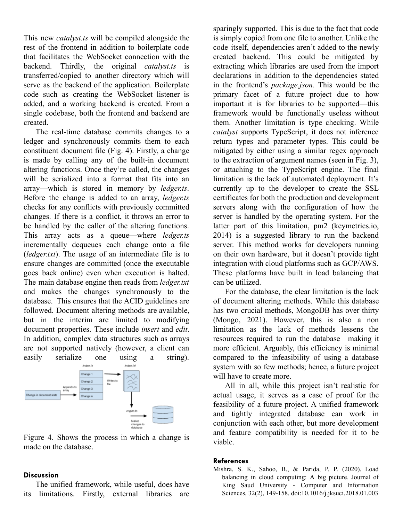This new *catalyst.ts* will be compiled alongside the rest of the frontend in addition to boilerplate code that facilitates the WebSocket connection with the backend. Thirdly, the original *catalyst.ts* is transferred/copied to another directory which will serve as the backend of the application. Boilerplate code such as creating the WebSocket listener is added, and a working backend is created. From a single codebase, both the frontend and backend are created.

The real-time database commits changes to a ledger and synchronously commits them to each constituent document file (Fig. 4). Firstly, a change is made by calling any of the built-in document altering functions. Once they're called, the changes will be serialized into a format that fits into an array—which is stored in memory by *ledger.ts*. Before the change is added to an array, *ledger.ts* checks for any conflicts with previously committed changes. If there is a conflict, it throws an error to be handled by the caller of the altering functions. This array acts as a queue—where *ledger.ts* incrementally dequeues each change onto a file (*ledger.txt*). The usage of an intermediate file is to ensure changes are committed (once the executable goes back online) even when execution is halted. The main database engine then reads from *ledger.txt* and makes the changes synchronously to the database. This ensures that the ACID guidelines are followed. Document altering methods are available, but in the interim are limited to modifying document properties. These include *insert* and *edit*. In addition, complex data structures such as arrays are not supported natively (however, a client can easily serialize one using a string).



Figure 4. Shows the process in which a change is made on the database.

### **Discussion**

The unified framework, while useful, does have its limitations. Firstly, external libraries are sparingly supported. This is due to the fact that code is simply copied from one file to another. Unlike the code itself, dependencies aren't added to the newly created backend. This could be mitigated by extracting which libraries are used from the import declarations in addition to the dependencies stated in the frontend's *package.json*. This would be the primary facet of a future project due to how important it is for libraries to be supported—this framework would be functionally useless without them. Another limitation is type checking. While *catalyst* supports TypeScript, it does not inference return types and parameter types. This could be mitigated by either using a similar regex approach to the extraction of argument names (seen in Fig. 3), or attaching to the TypeScript engine. The final limitation is the lack of automated deployment. It's currently up to the developer to create the SSL certificates for both the production and development servers along with the configuration of how the server is handled by the operating system. For the latter part of this limitation, pm2 (keymetrics.io, 2014) is a suggested library to run the backend server. This method works for developers running on their own hardware, but it doesn't provide tight integration with cloud platforms such as GCP/AWS. These platforms have built in load balancing that can be utilized.

For the database, the clear limitation is the lack of document altering methods. While this database has two crucial methods, MongoDB has over thirty (Mongo, 2021). However, this is also a non limitation as the lack of methods lessens the resources required to run the database—making it more efficient. Arguably, this efficiency is minimal compared to the infeasibility of using a database system with so few methods; hence, a future project will have to create more.

All in all, while this project isn't realistic for actual usage, it serves as a case of proof for the feasibility of a future project. A unified framework and tightly integrated database can work in conjunction with each other, but more development and feature compatibility is needed for it to be viable.

#### **References**

Mishra, S. K., Sahoo, B., & Parida, P. P. (2020). Load balancing in cloud computing: A big picture. Journal of King Saud University - Computer and Information Sciences, 32(2), 149-158. doi:10.1016/j.jksuci.2018.01.003